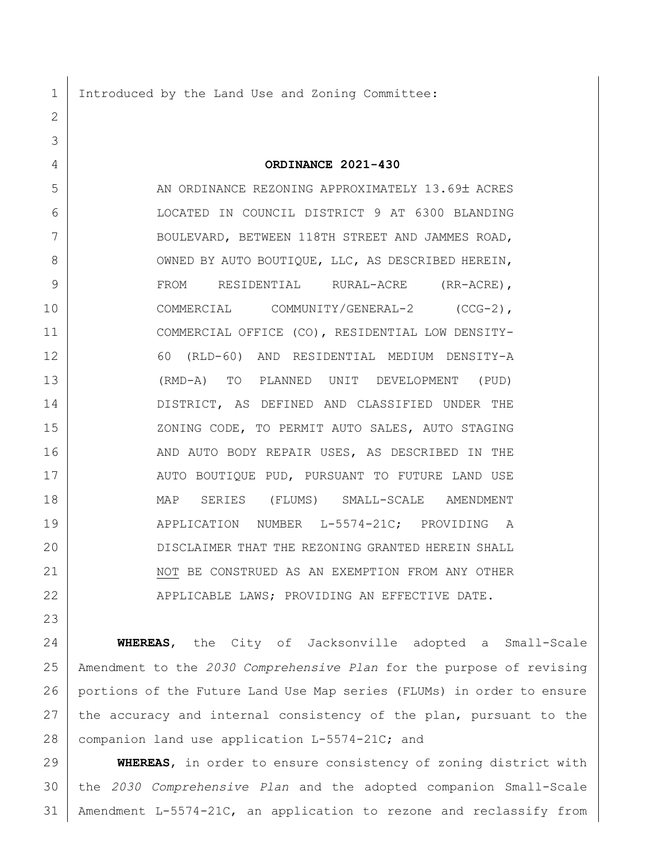1 Introduced by the Land Use and Zoning Committee:

4 **ORDINANCE 2021-430**

5 AN ORDINANCE REZONING APPROXIMATELY 13.69± ACRES 6 LOCATED IN COUNCIL DISTRICT 9 AT 6300 BLANDING 7 BOULEVARD, BETWEEN 118TH STREET AND JAMMES ROAD, 8 OWNED BY AUTO BOUTIOUE, LLC, AS DESCRIBED HEREIN, 9 FROM RESIDENTIAL RURAL-ACRE (RR-ACRE), 10 | COMMERCIAL COMMUNITY/GENERAL-2 (CCG-2), 11 COMMERCIAL OFFICE (CO), RESIDENTIAL LOW DENSITY-12 60 (RLD-60) AND RESIDENTIAL MEDIUM DENSITY-A 13 (RMD-A) TO PLANNED UNIT DEVELOPMENT (PUD) 14 DISTRICT, AS DEFINED AND CLASSIFIED UNDER THE 15 | XONING CODE, TO PERMIT AUTO SALES, AUTO STAGING 16 AND AUTO BODY REPAIR USES, AS DESCRIBED IN THE 17 | AUTO BOUTIOUE PUD, PURSUANT TO FUTURE LAND USE 18 MAP SERIES (FLUMS) SMALL-SCALE AMENDMENT 19 | APPLICATION NUMBER L-5574-21C; PROVIDING A 20 DISCLAIMER THAT THE REZONING GRANTED HEREIN SHALL 21 NOT BE CONSTRUED AS AN EXEMPTION FROM ANY OTHER 22 APPLICABLE LAWS; PROVIDING AN EFFECTIVE DATE.

23

2

3

24 **WHEREAS**, the City of Jacksonville adopted a Small-Scale 25 Amendment to the *2030 Comprehensive Plan* for the purpose of revising 26 portions of the Future Land Use Map series (FLUMs) in order to ensure 27 the accuracy and internal consistency of the plan, pursuant to the 28 companion land use application L-5574-21C; and

29 **WHEREAS**, in order to ensure consistency of zoning district with 30 the *2030 Comprehensive Plan* and the adopted companion Small-Scale 31 Amendment L-5574-21C, an application to rezone and reclassify from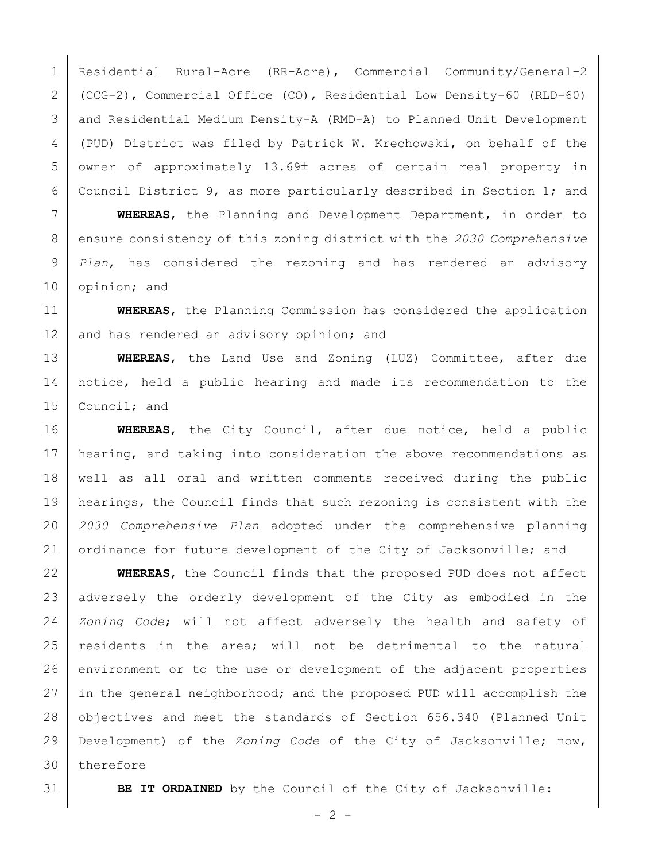Residential Rural-Acre (RR-Acre), Commercial Community/General-2 (CCG-2), Commercial Office (CO), Residential Low Density-60 (RLD-60) and Residential Medium Density-A (RMD-A) to Planned Unit Development (PUD) District was filed by Patrick W. Krechowski, on behalf of the 5 owner of approximately 13.69± acres of certain real property in Council District 9, as more particularly described in Section 1; and

 **WHEREAS**, the Planning and Development Department, in order to ensure consistency of this zoning district with the *2030 Comprehensive Plan*, has considered the rezoning and has rendered an advisory opinion; and

 **WHEREAS**, the Planning Commission has considered the application 12 and has rendered an advisory opinion; and

 **WHEREAS**, the Land Use and Zoning (LUZ) Committee, after due notice, held a public hearing and made its recommendation to the 15 Council; and

 **WHEREAS**, the City Council, after due notice, held a public 17 | hearing, and taking into consideration the above recommendations as well as all oral and written comments received during the public hearings, the Council finds that such rezoning is consistent with the *2030 Comprehensive Plan* adopted under the comprehensive planning 21 ordinance for future development of the City of Jacksonville; and

 **WHEREAS**, the Council finds that the proposed PUD does not affect 23 adversely the orderly development of the City as embodied in the *Zoning Code*; will not affect adversely the health and safety of residents in the area; will not be detrimental to the natural 26 environment or to the use or development of the adjacent properties 27 in the general neighborhood; and the proposed PUD will accomplish the objectives and meet the standards of Section 656.340 (Planned Unit Development) of the *Zoning Code* of the City of Jacksonville; now, therefore

**BE IT ORDAINED** by the Council of the City of Jacksonville: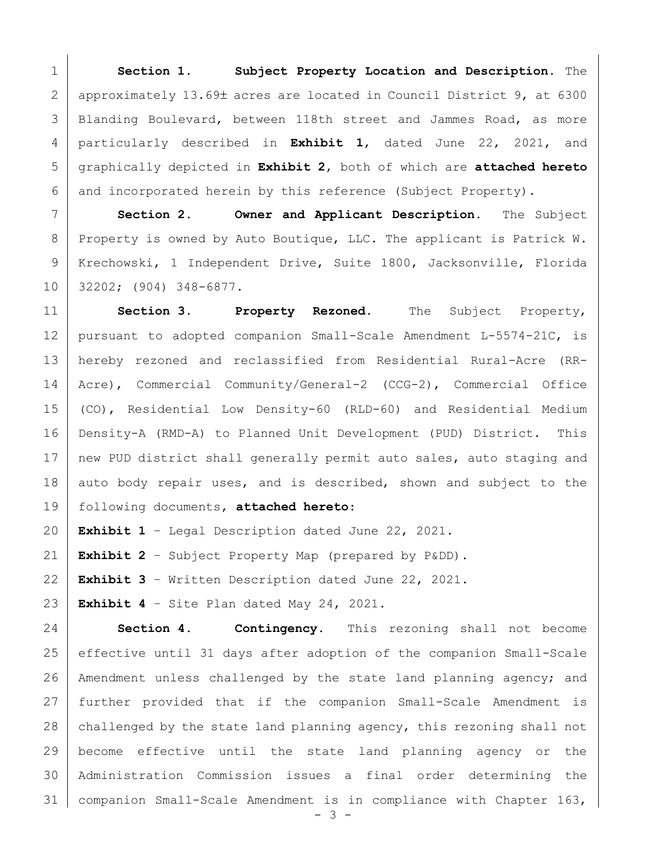**Section 1. Subject Property Location and Description.** The 2 | approximately 13.69± acres are located in Council District 9, at 6300 3 | Blanding Boulevard, between 118th street and Jammes Road, as more particularly described in **Exhibit 1**, dated June 22, 2021, and graphically depicted in **Exhibit 2**, both of which are **attached hereto** and incorporated herein by this reference (Subject Property).

 **Section 2. Owner and Applicant Description.** The Subject 8 Property is owned by Auto Boutique, LLC. The applicant is Patrick W. Krechowski, 1 Independent Drive, Suite 1800, Jacksonville, Florida 32202; (904) 348-6877.

 **Section 3. Property Rezoned.** The Subject Property, pursuant to adopted companion Small-Scale Amendment L-5574-21C, is hereby rezoned and reclassified from Residential Rural-Acre (RR- Acre), Commercial Community/General-2 (CCG-2), Commercial Office (CO), Residential Low Density-60 (RLD-60) and Residential Medium Density-A (RMD-A) to Planned Unit Development (PUD) District. This 17 new PUD district shall generally permit auto sales, auto staging and 18 auto body repair uses, and is described, shown and subject to the following documents, **attached hereto**:

**Exhibit 1** – Legal Description dated June 22, 2021.

**Exhibit 2** – Subject Property Map (prepared by P&DD).

**Exhibit 3** – Written Description dated June 22, 2021.

**Exhibit 4** – Site Plan dated May 24, 2021.

 **Section 4. Contingency.** This rezoning shall not become effective until 31 days after adoption of the companion Small-Scale Amendment unless challenged by the state land planning agency; and further provided that if the companion Small-Scale Amendment is 28 challenged by the state land planning agency, this rezoning shall not become effective until the state land planning agency or the Administration Commission issues a final order determining the companion Small-Scale Amendment is in compliance with Chapter 163,

- 3 -